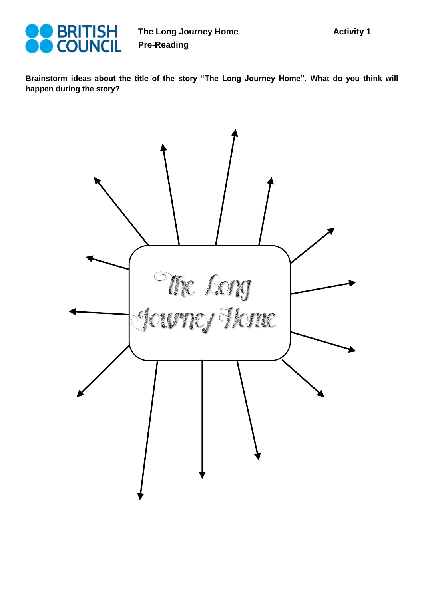

**The Long Journey Home Pre-Reading** 

**Brainstorm ideas about the title of the story "The Long Journey Home". What do you think will happen during the story?** 

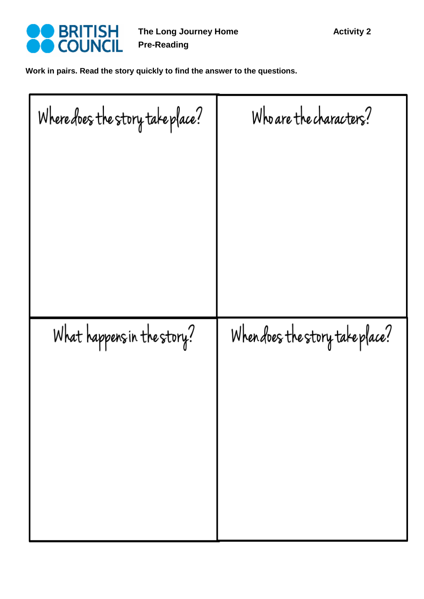

**The Long Journey Home Pre-Reading** 

**Work in pairs. Read the story quickly to find the answer to the questions.** 

| Where does the story take place? | Who are the characters?         |
|----------------------------------|---------------------------------|
|                                  |                                 |
|                                  |                                 |
|                                  |                                 |
|                                  |                                 |
|                                  |                                 |
| What happens in the story?       | When does the story take place? |
|                                  |                                 |
|                                  |                                 |
|                                  |                                 |
|                                  |                                 |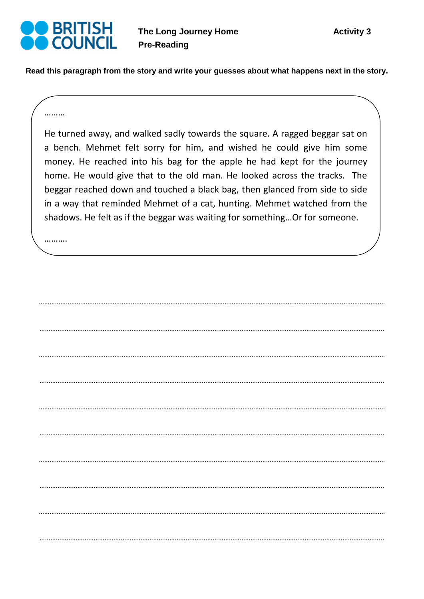

**Read this paragraph from the story and write your guesses about what happens next in the story.** 

## ………

He turned away, and walked sadly towards the square. A ragged beggar sat on a bench. Mehmet felt sorry for him, and wished he could give him some money. He reached into his bag for the apple he had kept for the journey home. He would give that to the old man. He looked across the tracks. The beggar reached down and touched a black bag, then glanced from side to side in a way that reminded Mehmet of a cat, hunting. Mehmet watched from the shadows. He felt as if the beggar was waiting for something…Or for someone.

…………………………………………………………………………………………………………………………………………………………………………

………………………………………………………………………………………………………………………………………………………………………..

…………………………………………………………………………………………………………………………………………………………………………

………………………………………………………………………………………………………………………………………………………………………..

…………………………………………………………………………………………………………………………………………………………………………

………………………………………………………………………………………………………………………………………………………………………..

…………………………………………………………………………………………………………………………………………………………………………

………………………………………………………………………………………………………………………………………………………………………..

…………………………………………………………………………………………………………………………………………………………………………

………………………………………………………………………………………………………………………………………………………………………..

…………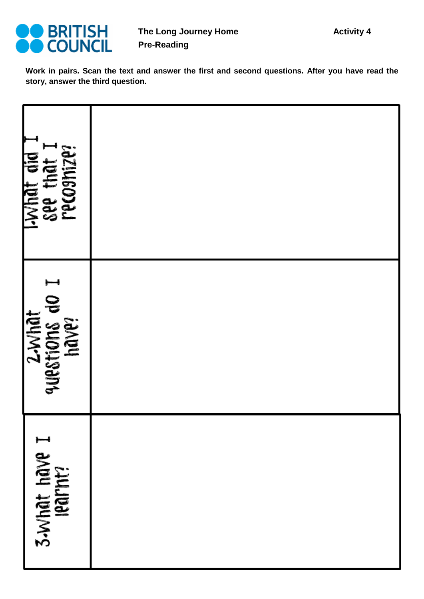

**Work in pairs. Scan the text and answer the first and second questions. After you have read the story, answer the third question.**

| Lydat did I<br>see that I<br>recosnize? |  |
|-----------------------------------------|--|
| 2-what<br>questions do I<br>have?       |  |
| 3.What have I<br>learnt?                |  |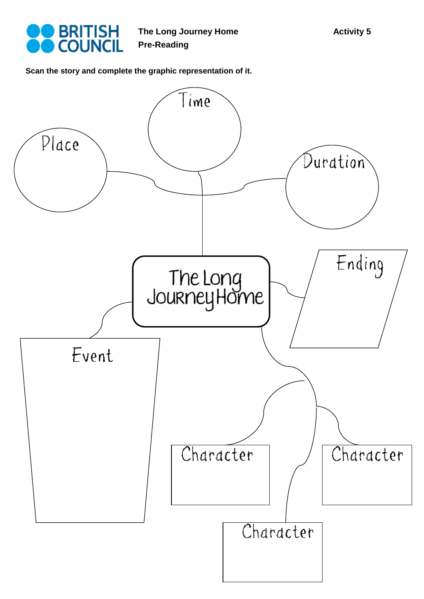

**The Long Journey Home Pre-Reading** 

**Scan the story and complete the graphic representation of it.**

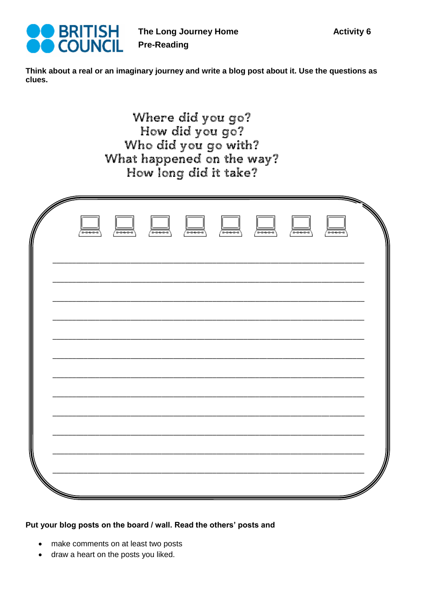

Think about a real or an imaginary journey and write a blog post about it. Use the questions as clues.

> Where did you go? How did you go? Who did you go with? What happened on the way? How long did it take?

| ᆓ | $\begin{array}{c}\n\hline\n\hline\n\hline\n\hline\n\end{array}$ | $\Box$ | $\Box$ | $\Box$ | $\Box$ | ▄▄ | ---- |  |
|---|-----------------------------------------------------------------|--------|--------|--------|--------|----|------|--|
|   |                                                                 |        |        |        |        |    |      |  |
|   |                                                                 |        |        |        |        |    |      |  |
|   |                                                                 |        |        |        |        |    |      |  |
|   |                                                                 |        |        |        |        |    |      |  |
|   |                                                                 |        |        |        |        |    |      |  |

## Put your blog posts on the board / wall. Read the others' posts and

- make comments on at least two posts
- draw a heart on the posts you liked.